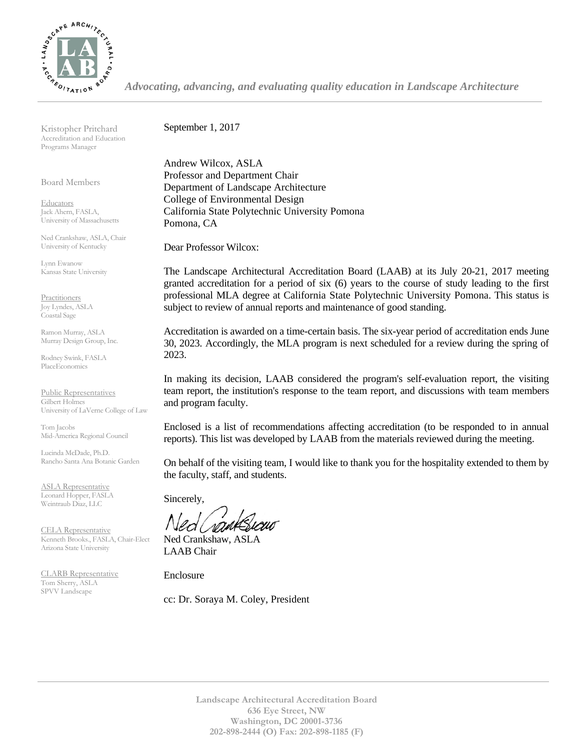

*Advocating, advancing, and evaluating quality education in Landscape Architecture*

Kristopher Pritchard Accreditation and Education Programs Manager

Board Members

**Educators** Jack Ahern, FASLA, University of Massachusetts

Ned Crankshaw, ASLA, Chair University of Kentucky

Lynn Ewanow Kansas State University

**Practitioners** Joy Lyndes, ASLA Coastal Sage

Ramon Murray, ASLA Murray Design Group, Inc.

Rodney Swink, FASLA PlaceEconomics

Public Representatives Gilbert Holmes University of LaVerne College of Law

Tom Jacobs Mid-America Regional Council

Lucinda McDade, Ph.D. Rancho Santa Ana Botanic Garden

ASLA Representative Leonard Hopper, FASLA Weintraub Diaz, LLC

CELA Representative Kenneth Brooks., FASLA, Chair-Elect Arizona State University

CLARB Representative Tom Sherry, ASLA SPVV Landscape

September 1, 2017

Andrew Wilcox, ASLA Professor and Department Chair Department of Landscape Architecture College of Environmental Design California State Polytechnic University Pomona Pomona, CA

Dear Professor Wilcox:

The Landscape Architectural Accreditation Board (LAAB) at its July 20-21, 2017 meeting granted accreditation for a period of six (6) years to the course of study leading to the first professional MLA degree at California State Polytechnic University Pomona. This status is subject to review of annual reports and maintenance of good standing.

Accreditation is awarded on a time-certain basis. The six-year period of accreditation ends June 30, 2023. Accordingly, the MLA program is next scheduled for a review during the spring of 2023.

In making its decision, LAAB considered the program's self-evaluation report, the visiting team report, the institution's response to the team report, and discussions with team members and program faculty.

Enclosed is a list of recommendations affecting accreditation (to be responded to in annual reports). This list was developed by LAAB from the materials reviewed during the meeting.

On behalf of the visiting team, I would like to thank you for the hospitality extended to them by the faculty, staff, and students.

Sincerely,

Ned Crankshaw, ASLA LAAB Chair

Enclosure

cc: Dr. Soraya M. Coley, President